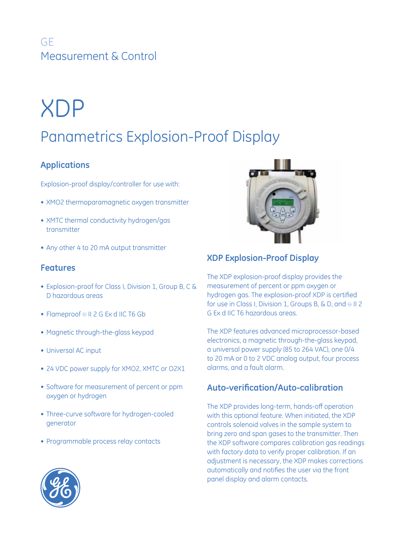## GE Measurement & Control

# XDP

## Panametrics Explosion-Proof Display

## **Applications**

Explosion-proof display/controller for use with:

- XMO2 thermoparamagnetic oxygen transmitter
- XMTC thermal conductivity hydrogen/gas transmitter
- Any other 4 to 20 mA output transmitter

## **Features**

- Explosion-proof for Class I, Division 1, Group B, C & D hazardous areas
- Flameproof ® II 2 G Ex d IIC T6 Gb
- Magnetic through-the-glass keypad
- • Universal AC input
- 24 VDC power supply for XMO2, XMTC or O2X1
- Software for measurement of percent or ppm oxygen or hydrogen
- Three-curve software for hydrogen-cooled generator
- Programmable process relay contacts



## **XDP Explosion-Proof Display**

The XDP explosion-proof display provides the measurement of percent or ppm oxygen or hydrogen gas. The explosion-proof XDP is certified for use in Class I, Division 1, Groups B, & D, and  $\odot$  II 2 G Ex d IIC T6 hazardous areas.

The XDP features advanced microprocessor-based electronics, a magnetic through-the-glass keypad, a universal power supply (85 to 264 VAC), one 0/4 to 20 mA or 0 to 2 VDC analog output, four process alarms, and a fault alarm.

## **Auto-verification/Auto-calibration**

The XDP provides long-term, hands-off operation with this optional feature. When initiated, the XDP controls solenoid valves in the sample system to bring zero and span gases to the transmitter. Then the XDP software compares calibration gas readings with factory data to verify proper calibration. If an adjustment is necessary, the XDP makes corrections automatically and notifies the user via the front panel display and alarm contacts.

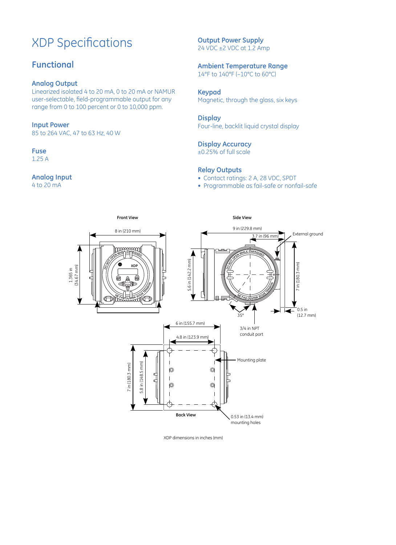## XDP Specifications

## **Functional**

#### **Analog Output**

Linearized isolated 4 to 20 mA, 0 to 20 mA or NAMUR user-selectable, field-programmable output for any range from 0 to 100 percent or 0 to 10,000 ppm.

#### **Input Power**

85 to 264 VAC, 47 to 63 Hz, 40 W

## **Fuse**

1.25 A

### **Analog Input**

4 to 20 mA

#### **Output Power Supply** 24 VDC ±2 VDC at 1.2 Amp

#### **Ambient Temperature Range** 14°F to 140°F (–10°C to 60°C)

## **Keypad**

Magnetic, through the glass, six keys

#### **Display**

Four-line, backlit liquid crystal display

## **Display Accuracy**

±0.25% of full scale

#### **Relay Outputs**

- Contact ratings: 2 A, 28 VDC, SPDT
- Programmable as fail-safe or nonfail-safe



XDP dimensions in inches (mm)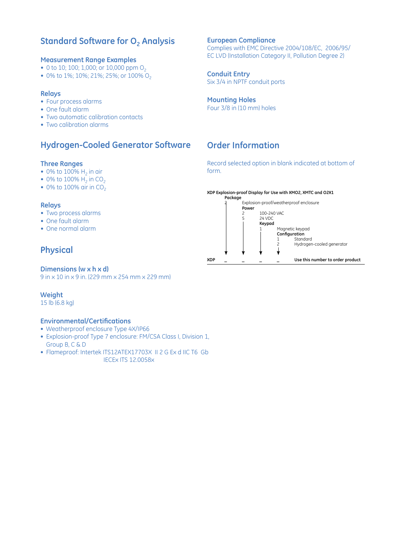## **Standard Software for O<sub>2</sub> Analysis**

#### **Measurement Range Examples**

- 0 to 10; 100; 1,000; or 10,000 ppm  $O_2$
- 0% to 1%; 10%; 21%; 25%; or 100% O<sub>2</sub>

#### **Relays**

- Four process alarms
- One fault alarm
- Two automatic calibration contacts
- Two calibration alarms

## **Hydrogen-Cooled Generator Software**

#### **Three Ranges**

- 0% to 100%  $H_2$  in air
- 0% to 100%  $H_2$  in CO<sub>2</sub>
- $\bullet$  0% to 100% air in CO<sub>2</sub>

#### **Relays**

- Two process alarms
- One fault alarm
- One normal alarm

## **Physical**

### **Dimensions (w x h x d)**

9 in x 10 in x 9 in. (229 mm x 254 mm x 229 mm)

### **Weight**

15 lb (6.8 kg)

### **Environmental/Certifications**

- Weatherproof enclosure Type 4X/IP66
- Explosion-proof Type 7 enclosure: FM/CSA Class I, Division 1, Group B, C & D
- Flameproof: Intertek ITS12ATEX17703X II 2 G Ex d IIC T6 Gb IECEx ITS 12.0058x

## **European Compliance** Complies with EMC Directive 2004/108/EC, 2006/95/

EC LVD (Installation Category II, Pollution Degree 2)

#### **Conduit Entry** Six 3/4 in NPTF conduit ports

**Mounting Holes** Four 3/8 in (10 mm) holes

## **Order Information**

Record selected option in blank indicated at bottom of form.

#### **XDP Explosion-proof Display for Use with XMO2, XMTC and O2X1**